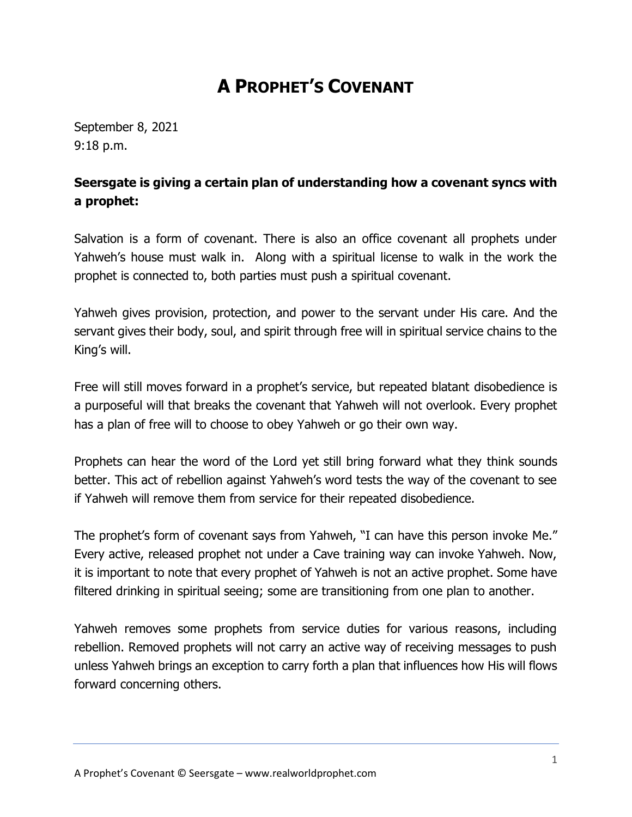## **A PROPHET'S COVENANT**

September 8, 2021 9:18 p.m.

## **Seersgate is giving a certain plan of understanding how a covenant syncs with a prophet:**

Salvation is a form of covenant. There is also an office covenant all prophets under Yahweh's house must walk in. Along with a spiritual license to walk in the work the prophet is connected to, both parties must push a spiritual covenant.

Yahweh gives provision, protection, and power to the servant under His care. And the servant gives their body, soul, and spirit through free will in spiritual service chains to the King's will.

Free will still moves forward in a prophet's service, but repeated blatant disobedience is a purposeful will that breaks the covenant that Yahweh will not overlook. Every prophet has a plan of free will to choose to obey Yahweh or go their own way.

Prophets can hear the word of the Lord yet still bring forward what they think sounds better. This act of rebellion against Yahweh's word tests the way of the covenant to see if Yahweh will remove them from service for their repeated disobedience.

The prophet's form of covenant says from Yahweh, "I can have this person invoke Me." Every active, released prophet not under a Cave training way can invoke Yahweh. Now, it is important to note that every prophet of Yahweh is not an active prophet. Some have filtered drinking in spiritual seeing; some are transitioning from one plan to another.

Yahweh removes some prophets from service duties for various reasons, including rebellion. Removed prophets will not carry an active way of receiving messages to push unless Yahweh brings an exception to carry forth a plan that influences how His will flows forward concerning others.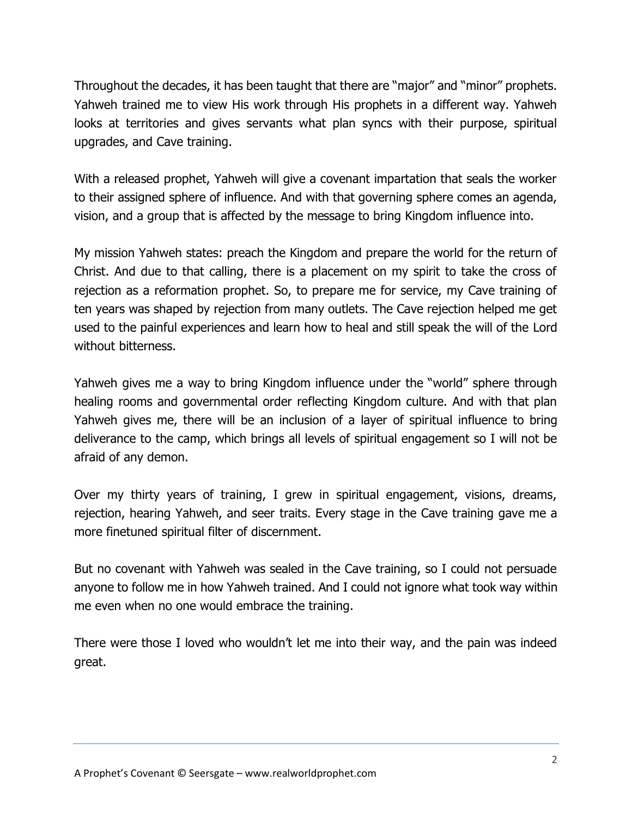Throughout the decades, it has been taught that there are "major" and "minor" prophets. Yahweh trained me to view His work through His prophets in a different way. Yahweh looks at territories and gives servants what plan syncs with their purpose, spiritual upgrades, and Cave training.

With a released prophet, Yahweh will give a covenant impartation that seals the worker to their assigned sphere of influence. And with that governing sphere comes an agenda, vision, and a group that is affected by the message to bring Kingdom influence into.

My mission Yahweh states: preach the Kingdom and prepare the world for the return of Christ. And due to that calling, there is a placement on my spirit to take the cross of rejection as a reformation prophet. So, to prepare me for service, my Cave training of ten years was shaped by rejection from many outlets. The Cave rejection helped me get used to the painful experiences and learn how to heal and still speak the will of the Lord without bitterness.

Yahweh gives me a way to bring Kingdom influence under the "world" sphere through healing rooms and governmental order reflecting Kingdom culture. And with that plan Yahweh gives me, there will be an inclusion of a layer of spiritual influence to bring deliverance to the camp, which brings all levels of spiritual engagement so I will not be afraid of any demon.

Over my thirty years of training, I grew in spiritual engagement, visions, dreams, rejection, hearing Yahweh, and seer traits. Every stage in the Cave training gave me a more finetuned spiritual filter of discernment.

But no covenant with Yahweh was sealed in the Cave training, so I could not persuade anyone to follow me in how Yahweh trained. And I could not ignore what took way within me even when no one would embrace the training.

There were those I loved who wouldn't let me into their way, and the pain was indeed great.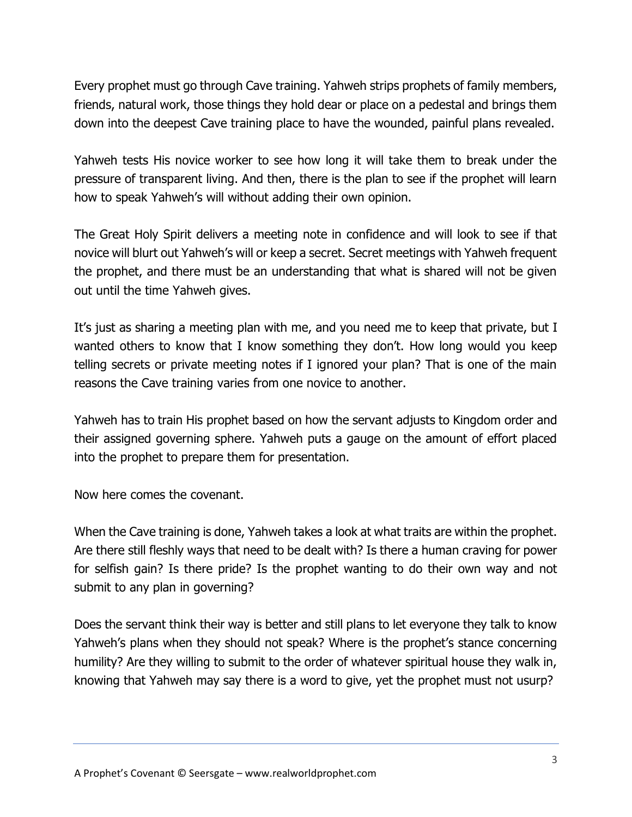Every prophet must go through Cave training. Yahweh strips prophets of family members, friends, natural work, those things they hold dear or place on a pedestal and brings them down into the deepest Cave training place to have the wounded, painful plans revealed.

Yahweh tests His novice worker to see how long it will take them to break under the pressure of transparent living. And then, there is the plan to see if the prophet will learn how to speak Yahweh's will without adding their own opinion.

The Great Holy Spirit delivers a meeting note in confidence and will look to see if that novice will blurt out Yahweh's will or keep a secret. Secret meetings with Yahweh frequent the prophet, and there must be an understanding that what is shared will not be given out until the time Yahweh gives.

It's just as sharing a meeting plan with me, and you need me to keep that private, but I wanted others to know that I know something they don't. How long would you keep telling secrets or private meeting notes if I ignored your plan? That is one of the main reasons the Cave training varies from one novice to another.

Yahweh has to train His prophet based on how the servant adjusts to Kingdom order and their assigned governing sphere. Yahweh puts a gauge on the amount of effort placed into the prophet to prepare them for presentation.

Now here comes the covenant.

When the Cave training is done, Yahweh takes a look at what traits are within the prophet. Are there still fleshly ways that need to be dealt with? Is there a human craving for power for selfish gain? Is there pride? Is the prophet wanting to do their own way and not submit to any plan in governing?

Does the servant think their way is better and still plans to let everyone they talk to know Yahweh's plans when they should not speak? Where is the prophet's stance concerning humility? Are they willing to submit to the order of whatever spiritual house they walk in, knowing that Yahweh may say there is a word to give, yet the prophet must not usurp?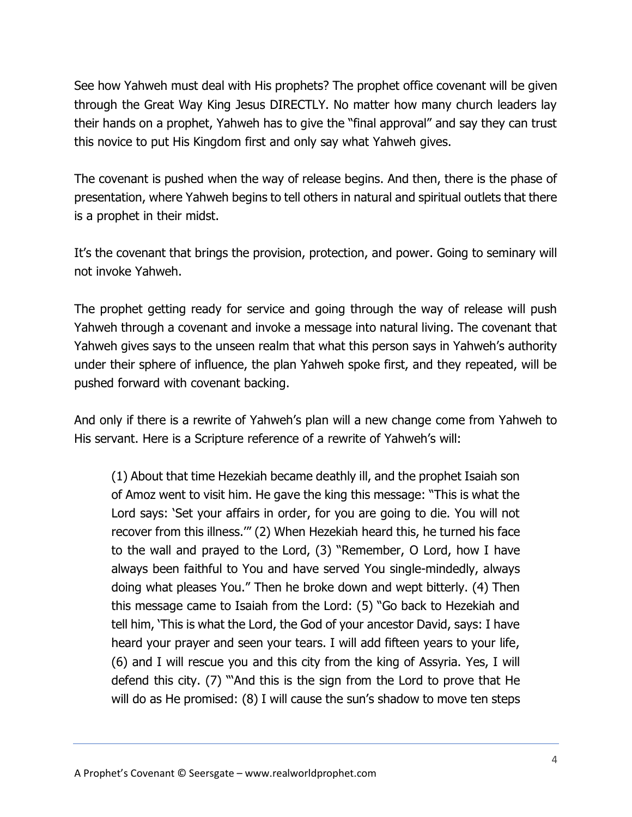See how Yahweh must deal with His prophets? The prophet office covenant will be given through the Great Way King Jesus DIRECTLY. No matter how many church leaders lay their hands on a prophet, Yahweh has to give the "final approval" and say they can trust this novice to put His Kingdom first and only say what Yahweh gives.

The covenant is pushed when the way of release begins. And then, there is the phase of presentation, where Yahweh begins to tell others in natural and spiritual outlets that there is a prophet in their midst.

It's the covenant that brings the provision, protection, and power. Going to seminary will not invoke Yahweh.

The prophet getting ready for service and going through the way of release will push Yahweh through a covenant and invoke a message into natural living. The covenant that Yahweh gives says to the unseen realm that what this person says in Yahweh's authority under their sphere of influence, the plan Yahweh spoke first, and they repeated, will be pushed forward with covenant backing.

And only if there is a rewrite of Yahweh's plan will a new change come from Yahweh to His servant. Here is a Scripture reference of a rewrite of Yahweh's will:

(1) About that time Hezekiah became deathly ill, and the prophet Isaiah son of Amoz went to visit him. He gave the king this message: "This is what the Lord says: 'Set your affairs in order, for you are going to die. You will not recover from this illness.'" (2) When Hezekiah heard this, he turned his face to the wall and prayed to the Lord, (3) "Remember, O Lord, how I have always been faithful to You and have served You single-mindedly, always doing what pleases You." Then he broke down and wept bitterly. (4) Then this message came to Isaiah from the Lord: (5) "Go back to Hezekiah and tell him, 'This is what the Lord, the God of your ancestor David, says: I have heard your prayer and seen your tears. I will add fifteen years to your life, (6) and I will rescue you and this city from the king of Assyria. Yes, I will defend this city. (7) "'And this is the sign from the Lord to prove that He will do as He promised: (8) I will cause the sun's shadow to move ten steps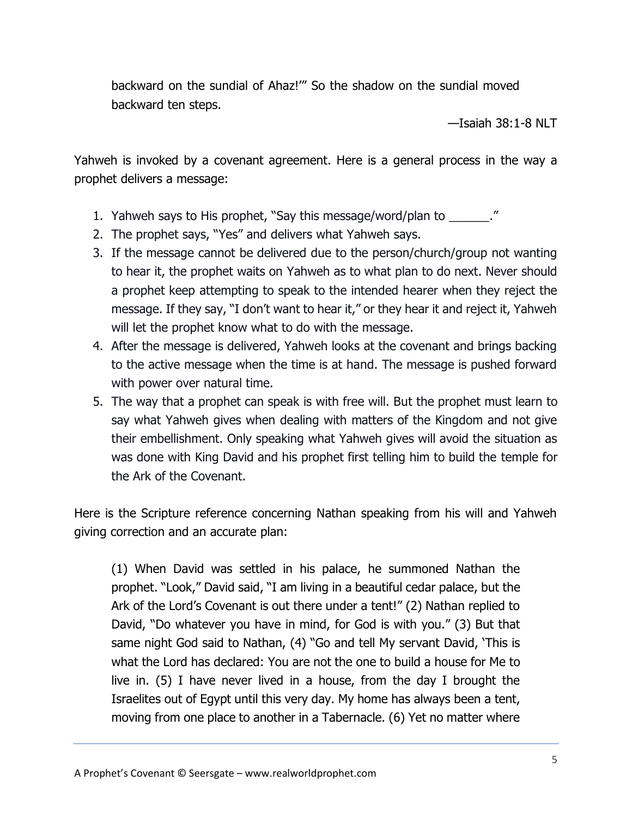backward on the sundial of Ahaz!'" So the shadow on the sundial moved backward ten steps.

—Isaiah 38:1-8 NLT

Yahweh is invoked by a covenant agreement. Here is a general process in the way a prophet delivers a message:

- 1. Yahweh says to His prophet, "Say this message/word/plan to  $\blacksquare$ "
- 2. The prophet says, "Yes" and delivers what Yahweh says.
- 3. If the message cannot be delivered due to the person/church/group not wanting to hear it, the prophet waits on Yahweh as to what plan to do next. Never should a prophet keep attempting to speak to the intended hearer when they reject the message. If they say, "I don't want to hear it," or they hear it and reject it, Yahweh will let the prophet know what to do with the message.
- 4. After the message is delivered, Yahweh looks at the covenant and brings backing to the active message when the time is at hand. The message is pushed forward with power over natural time.
- 5. The way that a prophet can speak is with free will. But the prophet must learn to say what Yahweh gives when dealing with matters of the Kingdom and not give their embellishment. Only speaking what Yahweh gives will avoid the situation as was done with King David and his prophet first telling him to build the temple for the Ark of the Covenant.

Here is the Scripture reference concerning Nathan speaking from his will and Yahweh giving correction and an accurate plan:

(1) When David was settled in his palace, he summoned Nathan the prophet. "Look," David said, "I am living in a beautiful cedar palace, but the Ark of the Lord's Covenant is out there under a tent!" (2) Nathan replied to David, "Do whatever you have in mind, for God is with you." (3) But that same night God said to Nathan, (4) "Go and tell My servant David, 'This is what the Lord has declared: You are not the one to build a house for Me to live in. (5) I have never lived in a house, from the day I brought the Israelites out of Egypt until this very day. My home has always been a tent, moving from one place to another in a Tabernacle. (6) Yet no matter where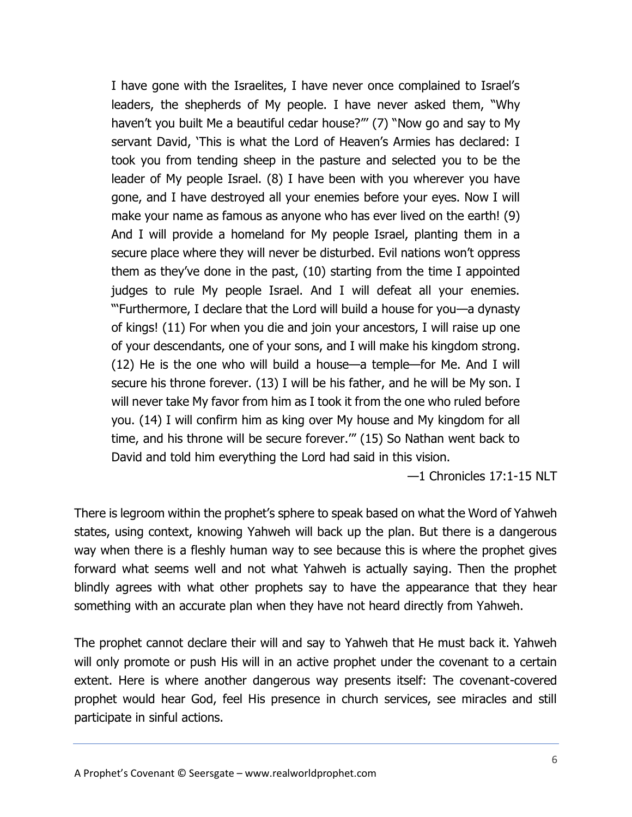I have gone with the Israelites, I have never once complained to Israel's leaders, the shepherds of My people. I have never asked them, "Why haven't you built Me a beautiful cedar house?"' (7) "Now go and say to My servant David, 'This is what the Lord of Heaven's Armies has declared: I took you from tending sheep in the pasture and selected you to be the leader of My people Israel. (8) I have been with you wherever you have gone, and I have destroyed all your enemies before your eyes. Now I will make your name as famous as anyone who has ever lived on the earth! (9) And I will provide a homeland for My people Israel, planting them in a secure place where they will never be disturbed. Evil nations won't oppress them as they've done in the past, (10) starting from the time I appointed judges to rule My people Israel. And I will defeat all your enemies. "'Furthermore, I declare that the Lord will build a house for you—a dynasty of kings! (11) For when you die and join your ancestors, I will raise up one of your descendants, one of your sons, and I will make his kingdom strong. (12) He is the one who will build a house—a temple—for Me. And I will secure his throne forever. (13) I will be his father, and he will be My son. I will never take My favor from him as I took it from the one who ruled before you. (14) I will confirm him as king over My house and My kingdom for all time, and his throne will be secure forever.'" (15) So Nathan went back to David and told him everything the Lord had said in this vision.

—1 Chronicles 17:1-15 NLT

There is legroom within the prophet's sphere to speak based on what the Word of Yahweh states, using context, knowing Yahweh will back up the plan. But there is a dangerous way when there is a fleshly human way to see because this is where the prophet gives forward what seems well and not what Yahweh is actually saying. Then the prophet blindly agrees with what other prophets say to have the appearance that they hear something with an accurate plan when they have not heard directly from Yahweh.

The prophet cannot declare their will and say to Yahweh that He must back it. Yahweh will only promote or push His will in an active prophet under the covenant to a certain extent. Here is where another dangerous way presents itself: The covenant-covered prophet would hear God, feel His presence in church services, see miracles and still participate in sinful actions.